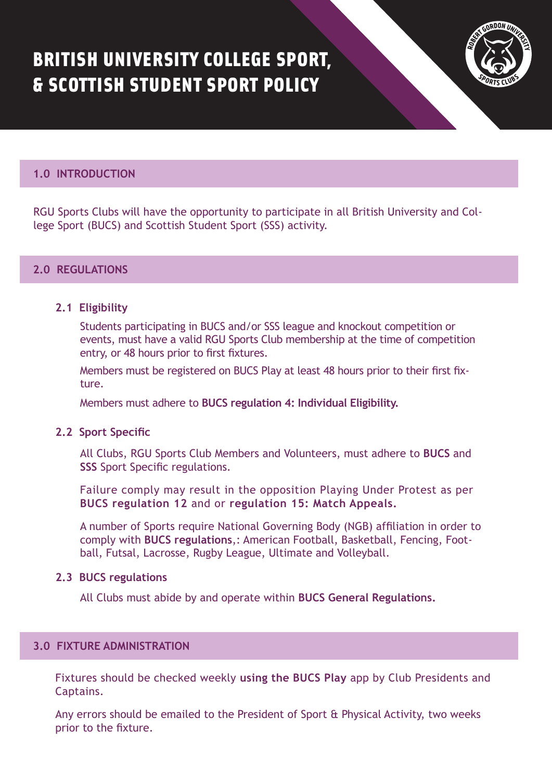# BRITISH UNIVERSITY COLLEGE SPORT, & SCOTTISH STUDENT SPORT POLICY



### **1.0 INTRODUCTION**

RGU Sports Clubs will have the opportunity to participate in all British University and College Sport (BUCS) and Scottish Student Sport (SSS) activity.

#### **2.0 REGULATIONS**

#### **2.1 Eligibility**

Students participating in BUCS and/or SSS league and knockout competition or events, must have a valid RGU Sports Club membership at the time of competition entry, or 48 hours prior to first fixtures.

Members must be registered on BUCS Play at least 48 hours prior to their first fixture.

Members must adhere to **[BUCS regulation 4: Individual Eligibility.](https://www.bucs.org.uk/rules-and-regulations/general-regulations/reg-4-individual-eligibility.html)** 

#### **2.2 Sport Specific**

All Clubs, RGU Sports Club Members and Volunteers, must adhere to **[BUCS](https://www.bucs.org.uk/rules-and-regulations/sport.html)** and **[SSS](https://www.scottishstudentsport.com/sports/)** Sport Specific regulations.

Failure comply may result in the opposition Playing Under Protest as per **[BUCS regulation 12](https://www.bucs.org.uk/rules-and-regulations/general-regulations/reg-12-playing-under-protest.html)** and or **[regulation 15: Match Appeals.](https://www.bucs.org.uk/rules-and-regulations/general-regulations/reg-15-match-appeals.html)**

A number of Sports require National Governing Body (NGB) affiliation in order to comply with **[BUCS regulations](https://www.bucs.org.uk/rules-and-regulations/sport-specific-affiliations.html)**,: American Football, Basketball, Fencing, Football, Futsal, Lacrosse, Rugby League, Ultimate and Volleyball.

#### **2.3 BUCS regulations**

All Clubs must abide by and operate within **[BUCS General Regulations.](https://www.bucs.org.uk/rules-and-regulations/general-regulations.htmlhttps:/www.bucs.org.uk/rules-and-regulations/general-regulations.html)**

# **3.0 FIXTURE ADMINISTRATION**

Fixtures should be checked weekly **using the BUCS Play** app by Club Presidents and Captains.

Any errors should be emailed to the President of Sport & Physical Activity, two weeks prior to the fixture.